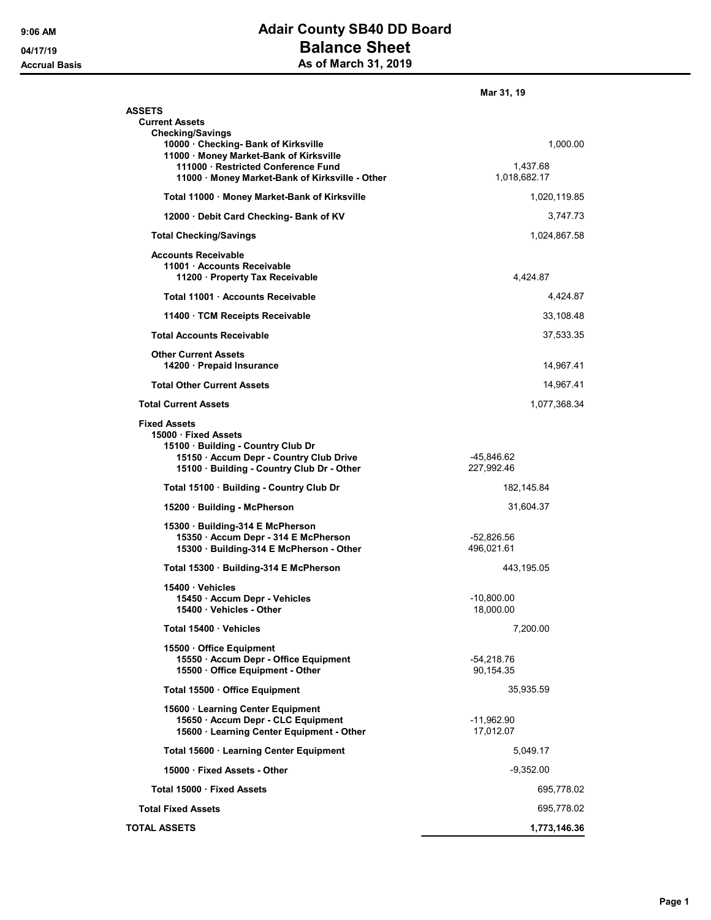## 9:06 AM **Adair County SB40 DD Board** 04/17/19 **Balance Sheet** Accrual Basis **Accrual Basis** As of March 31, 2019

|                                                                                                                                                                          | Mar 31, 19                 |
|--------------------------------------------------------------------------------------------------------------------------------------------------------------------------|----------------------------|
| <b>ASSETS</b><br><b>Current Assets</b><br><b>Checking/Savings</b>                                                                                                        |                            |
| 10000 Checking- Bank of Kirksville<br>11000 · Money Market-Bank of Kirksville<br>111000 Restricted Conference Fund                                                       | 1,000.00<br>1,437.68       |
| 11000 Money Market-Bank of Kirksville - Other                                                                                                                            | 1,018,682.17               |
| Total 11000 · Money Market-Bank of Kirksville                                                                                                                            | 1,020,119.85               |
| 12000 Debit Card Checking- Bank of KV                                                                                                                                    | 3,747.73                   |
| <b>Total Checking/Savings</b>                                                                                                                                            | 1,024,867.58               |
| <b>Accounts Receivable</b><br>11001 · Accounts Receivable<br>11200 · Property Tax Receivable                                                                             | 4,424.87                   |
| Total 11001 Accounts Receivable                                                                                                                                          | 4,424.87                   |
| 11400 TCM Receipts Receivable                                                                                                                                            | 33,108.48                  |
| <b>Total Accounts Receivable</b>                                                                                                                                         | 37,533.35                  |
| <b>Other Current Assets</b><br>14200 · Prepaid Insurance                                                                                                                 | 14,967.41                  |
| <b>Total Other Current Assets</b>                                                                                                                                        | 14,967.41                  |
| <b>Total Current Assets</b>                                                                                                                                              | 1,077,368.34               |
| <b>Fixed Assets</b><br>15000 Fixed Assets<br>15100 · Building - Country Club Dr<br>15150 · Accum Depr - Country Club Drive<br>15100 · Building - Country Club Dr - Other | -45,846.62<br>227,992.46   |
| Total 15100 · Building - Country Club Dr                                                                                                                                 | 182, 145.84                |
| 15200 · Building - McPherson                                                                                                                                             | 31,604.37                  |
| 15300 · Building-314 E McPherson<br>15350 · Accum Depr - 314 E McPherson<br>15300 · Building-314 E McPherson - Other                                                     | $-52,826.56$<br>496,021.61 |
| Total 15300 Building-314 E McPherson                                                                                                                                     | 443,195.05                 |
| 15400 Vehicles<br>15450 · Accum Depr - Vehicles<br>15400 · Vehicles - Other                                                                                              | $-10,800.00$<br>18,000.00  |
| Total 15400 · Vehicles                                                                                                                                                   | 7,200.00                   |
| 15500 Office Equipment<br>15550 · Accum Depr - Office Equipment<br>15500 · Office Equipment - Other                                                                      | $-54,218.76$<br>90,154.35  |
| Total 15500 · Office Equipment                                                                                                                                           | 35,935.59                  |
| 15600 · Learning Center Equipment<br>15650 · Accum Depr - CLC Equipment<br>15600 · Learning Center Equipment - Other                                                     | -11,962.90<br>17,012.07    |
| Total 15600 · Learning Center Equipment                                                                                                                                  | 5,049.17                   |
| 15000 Fixed Assets - Other                                                                                                                                               | $-9,352.00$                |
| Total 15000 · Fixed Assets                                                                                                                                               | 695,778.02                 |
| <b>Total Fixed Assets</b>                                                                                                                                                | 695,778.02                 |
| <b>TOTAL ASSETS</b>                                                                                                                                                      | 1,773,146.36               |